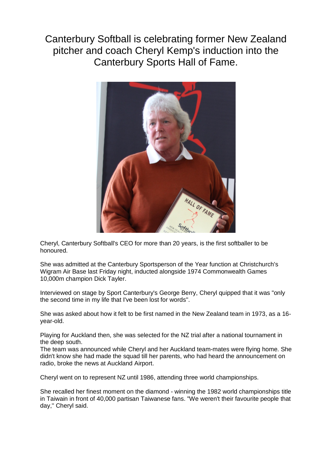Canterbury Softball is celebrating former New Zealand pitcher and coach Cheryl Kemp's induction into the Canterbury Sports Hall of Fame.



Cheryl, Canterbury Softball's CEO for more than 20 years, is the first softballer to be honoured.

She was admitted at the Canterbury Sportsperson of the Year function at Christchurch's Wigram Air Base last Friday night, inducted alongside 1974 Commonwealth Games 10,000m champion Dick Tayler.

Interviewed on stage by Sport Canterbury's George Berry, Cheryl quipped that it was "only the second time in my life that I've been lost for words''.

She was asked about how it felt to be first named in the New Zealand team in 1973, as a 16 year-old.

Playing for Auckland then, she was selected for the NZ trial after a national tournament in the deep south.

The team was announced while Cheryl and her Auckland team-mates were flying home. She didn't know she had made the squad till her parents, who had heard the announcement on radio, broke the news at Auckland Airport.

Cheryl went on to represent NZ until 1986, attending three world championships.

She recalled her finest moment on the diamond - winning the 1982 world championships title in Taiwain in front of 40,000 partisan Taiwanese fans. "We weren't their favourite people that day,'' Cheryl said.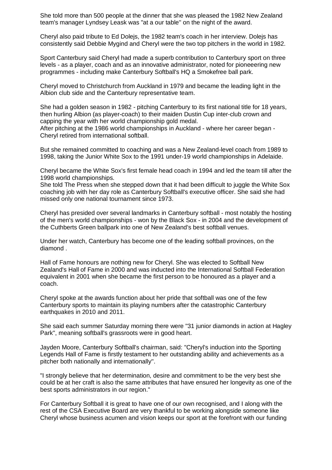She told more than 500 people at the dinner that she was pleased the 1982 New Zealand team's manager Lyndsey Leask was "at a our table'' on the night of the award.

Cheryl also paid tribute to Ed Dolejs, the 1982 team's coach in her interview. Dolejs has consistently said Debbie Mygind and Cheryl were the two top pitchers in the world in 1982.

Sport Canterbury said Cheryl had made a superb contribution to Canterbury sport on three levels - as a player, coach and as an innovative administrator, noted for pioneeering new programmes - including make Canterbury Softball's HQ a Smokefree ball park.

Cheryl moved to Christchurch from Auckland in 1979 and became the leading light in the Albion club side and the Canterbury representative team.

She had a golden season in 1982 - pitching Canterbury to its first national title for 18 years, then hurling Albion (as player-coach) to their maiden Dustin Cup inter-club crown and capping the year with her world championship gold medal.

After pitching at the 1986 world championships in Auckland - where her career began - Cheryl retired from international softball.

But she remained committed to coaching and was a New Zealand-level coach from 1989 to 1998, taking the Junior White Sox to the 1991 under-19 world championships in Adelaide.

Cheryl became the White Sox's first female head coach in 1994 and led the team till after the 1998 world championships.

She told The Press when she stepped down that it had been difficult to juggle the White Sox coaching job with her day role as Canterbury Softball's executive officer. She said she had missed only one national tournament since 1973.

Cheryl has presided over several landmarks in Canterbury softball - most notably the hosting of the men's world championships - won by the Black Sox - in 2004 and the development of the Cuthberts Green ballpark into one of New Zealand's best softball venues.

Under her watch, Canterbury has become one of the leading softball provinces, on the diamond .

Hall of Fame honours are nothing new for Cheryl. She was elected to Softball New Zealand's Hall of Fame in 2000 and was inducted into the International Softball Federation equivalent in 2001 when she became the first person to be honoured as a player and a coach.

Cheryl spoke at the awards function about her pride that softball was one of the few Canterbury sports to maintain its playing numbers after the catastrophic Canterbury earthquakes in 2010 and 2011.

She said each summer Saturday morning there were "31 junior diamonds in action at Hagley Park'', meaning softball's grassroots were in good heart.

Jayden Moore, Canterbury Softball's chairman, said: "Cheryl's induction into the Sporting Legends Hall of Fame is firstly testament to her outstanding ability and achievements as a pitcher both nationally and internationally''.

"I strongly believe that her determination, desire and commitment to be the very best she could be at her craft is also the same attributes that have ensured her longevity as one of the best sports administrators in our region."

For Canterbury Softball it is great to have one of our own recognised, and I along with the rest of the CSA Executive Board are very thankful to be working alongside someone like Cheryl whose business acumen and vision keeps our sport at the forefront with our funding